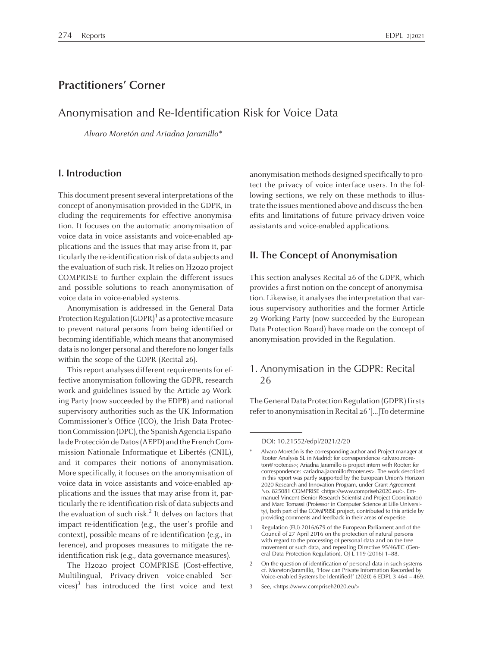# **Practitioners' Corner**

# Anonymisation and Re-Identification Risk for Voice Data

Alvaro Moretón and Ariadna Jaramillo\*

### **I. Introduction**

This document present several interpretations of the concep<sup>t</sup> of anonymisation provided in the GDPR, including the requirements for effective anonymisation. It focuses on the automatic anonymisation of voice data in voice assistants and voice-enabled applications and the issues that may arise from it, particularly the re-identification risk of data subjects and the evaluation of such risk. It relies on H2020 project COMPRISE to further explain the different issues and possible solutions to reach anonymisation of voice data in voice-enabled systems.

Anonymisation is addressed in the General Data Protection Regulation (GDPR)<sup>1</sup> as a protective measure to preven<sup>t</sup> natural persons from being identified or becoming identifiable, which means that anonymised data is no longer personal and therefore no longer falls within the scope of the GDPR (Recital 26).

This report analyses different requirements for effective anonymisation following the GDPR, research work and guidelines issued by the Article 29 Working Party (now succeeded by the EDPB) and national supervisory authorities such as the UK Information Commissioner's Office (ICO), the Irish Data Protection Commission (DPC), the Spanish Agencia Española de Protección de Datos (AEPD) and the French Commission Nationale Informatique et Libertés (CNIL), and it compares their notions of anonymisation. More specifically, it focuses on the anonymisation of voice data in voice assistants and voice-enabled applications and the issues that may arise from it, particularly the re-identification risk of data subjects and the evaluation of such risk. 2 It delves on factors that impact re-identification (e.g., the user's profile and context), possible means of re-identification (e.g., inference), and proposes measures to mitigate the reidentification risk (e.g., data governance measures).

The H2020 project COMPRISE (Cost-effective, Multilingual, Privacy-driven voice-enabled Services)<sup>3</sup> has introduced the first voice and text

anonymisation methods designed specifically to protect the privacy of voice interface users. In the following sections, we rely on these methods to illustrate the issues mentioned above and discuss the benefits and limitations of future privacy-driven voice assistants and voice-enabled applications.

### **II. The Concept of Anonymisation**

This section analyses Recital <sup>26</sup> of the GDPR, which provides <sup>a</sup> first notion on the concep<sup>t</sup> of anonymisation. Likewise, it analyses the interpretation that various supervisory authorities and the former Article 29 Working Party (now succeeded by the European Data Protection Board) have made on the concep<sup>t</sup> of anonymisation provided in the Regulation.

### 1. Anonymisation in the GDPR: Recital 26

The General Data Protection Regulation (GDPR) firsts referto anonymisation inRecital <sup>26</sup> '[…]To determine

DOI: 10.21552/edpl/2021/2/20

<sup>\*</sup> Alvaro Moretón is the corresponding author and Project manager at Rooter Analysis SL in Madrid; for correspondence <alvaro.moreton@rooter.es>; Ariadna Jaramillo is project intern with Rooter; for correspondence: <ariadna.jaramillo@rooter.es>. The work described in this repor<sup>t</sup> was partly supported by the European Union's Horizon <sup>2020</sup> Research and Innovation Program, under Grant Agreement No. <sup>825081</sup> COMPRISE <https://www.compriseh2020.eu/>. Emmanuel Vincent (Senior Research Scientist and Project Coordinator) and Marc Tomassi (Professor in Computer Science at Lille University), both par<sup>t</sup> of the COMPRISE project, contributed to this article by providing comments and feedback in their areas of expertise.

<sup>1</sup> Regulation (EU) 2016/679 of the European Parliament and of the Council of <sup>27</sup> April <sup>2016</sup> on the protection of natural persons with regard to the processing of personal data and on the free movement of such data, and repealing Directive 95/46/EC (General Data Protection Regulation), OJ L 119 (2016) 1-88.

<sup>2</sup> On the question of identification of personal data in such systems cf. Moreton/Jaramillo, 'How can Private Information Recorded by Voice-enabled Systems be Identified?' (2020) <sup>6</sup> EDPL <sup>3</sup> <sup>464</sup> – 469.

<sup>3</sup> See, <https://www.compriseh2020.eu/>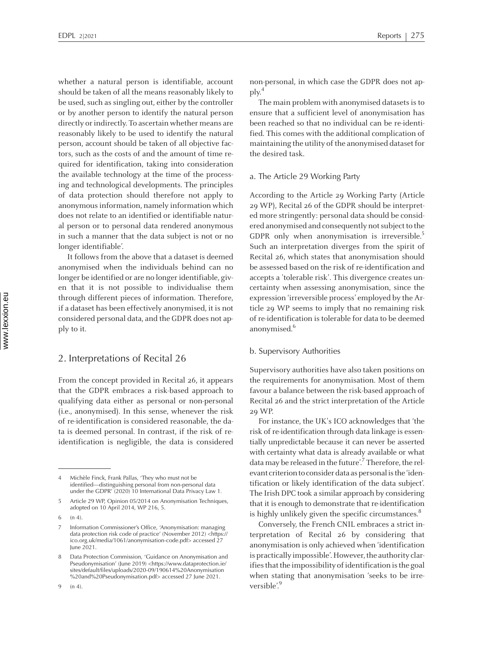whether <sup>a</sup> natural person is identifiable, account should be taken of all the means reasonably likely to be used, such as singling out, either by the controller or by another person to identify the natural person directly or indirectly. To ascertain whether means are reasonably likely to be used to identify the natural person, account should be taken of all objective factors, such as the costs of and the amount of time required for identification, taking into consideration the available technology at the time of the processing and technological developments. The principles of data protection should therefore not apply to anonymousinformation, namely information which does not relate to an identified or identifiable natural person or to personal data rendered anonymous in such <sup>a</sup> manner that the data subject is not or no longer identifiable'.

It follows from the above that <sup>a</sup> dataset is deemed anonymised when the individuals behind can no longer be identified or are no longer identifiable, given that it is not possible to individualise them through different pieces of information. Therefore, if a dataset has been effectively anonymised, it is not considered personal data, and the GDPR does not apply to it.

### 2. Interpretations of Recital <sup>26</sup>

From the concep<sup>t</sup> provided in Recital 26, it appears that the GDPR embraces <sup>a</sup> risk-based approach to qualifying data either as personal or non-personal (i.e., anonymised). In this sense, whenever the risk of re-identification is considered reasonable, the data is deemed personal. In contrast, if the risk of reidentification is negligible, the data is considered

9 (n 4).

non-personal, in which case the GDPR does not apply. 4

The main problem with anonymised datasets is to ensure that <sup>a</sup> sufficient level of anonymisation has been reached so that no individual can be re-identified. This comes with the additional complication of maintaining the utility of the anonymised dataset for the desired task.

#### a. The Article <sup>29</sup> Working Party

According to the Article 29 Working Party (Article 29 WP), Recital <sup>26</sup> of the GDPR should be interpreted more stringently: personal data should be considered anonymised and consequently not subject to the GDPR only when anonymisation is irreversible.<sup>5</sup> Such an interpretation diverges from the spirit of Recital 26, which states that anonymisation should be assessed based on the risk of re-identification and accepts <sup>a</sup> 'tolerable risk'. This divergence creates uncertainty when assessing anonymisation, since the expression 'irreversible process' employed by the Article 29 WP seems to imply that no remaining risk of re-identification is tolerable for data to be deemed anonymised. 6 er<br>1

#### b. Supervisory Authorities

Supervisory authorities have also taken positions on the requirements for anonymisation. Most of them favour <sup>a</sup> balance between the risk-based approach of Recital <sup>26</sup> and the strict interpretation of the Article 29 WP.

For instance, the UK's ICO acknowledges that 'the risk of re-identification through data linkage is essentially unpredictable because it can never be asserted with certainty what data is already available or what data may be released in the future'.<sup>7</sup> Therefore, the relevant criterion to consider data as personal is the 'identification or likely identification of the data subject'. The Irish DPC took <sup>a</sup> similar approach by considering that it is enough to demonstrate that re-identification is highly unlikely given the specific circumstances.<sup>8</sup>

Conversely, the French CNIL embraces <sup>a</sup> strict interpretation of Recital <sup>26</sup> by considering that anonymisation is only achieved when 'identification is practically impossible'. However, the authority clarifies that the impossibility of identification is the goal when stating that anonymisation 'seeks to be irreversible'. 9

<sup>4</sup> Michèle Finck, Frank Pallas, 'They who must not be identified—distinguishing personal from non-personal data under the GDPR' (2020) <sup>10</sup> International Data Privacy Law <sup>1</sup>*.*

<sup>5</sup> Article <sup>29</sup> WP, Opinion 05/2014 on Anonymisation Techniques, adopted on <sup>10</sup> April 2014, WP 216, 5.

<sup>6</sup> (n 4).

<sup>7</sup> Information Commissioner's Office, 'Anonymisation: managing data protection risk code of practice' (November 2012) <https:// ico.org.uk/media/1061/anonymisation-code.pdf> accessed <sup>27</sup> June 2021.

<sup>8</sup> Data Protection Commission, 'Guidance on Anonymisation and Pseudonymisation' (June 2019) <https://www.dataprotection.ie/ sites/default/files/uploads/2020-09/190614%20Anonymisation %20and%20Pseudonymisation.pdf> accessed <sup>27</sup> June 2021.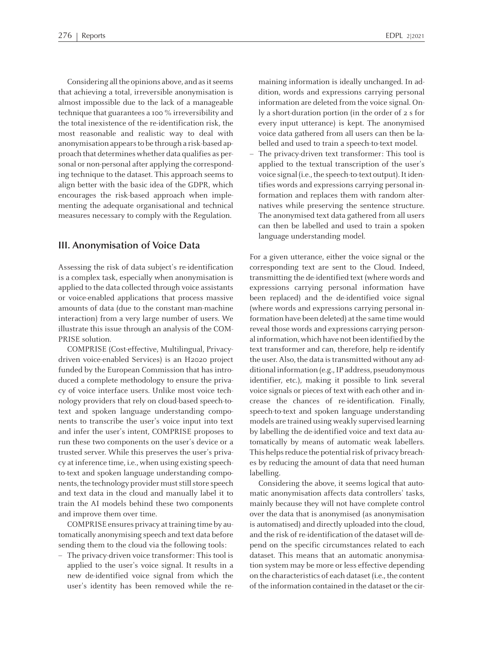Considering all the opinions above, and as it seems that achieving <sup>a</sup> total, irreversible anonymisation is almost impossible due to the lack of <sup>a</sup> manageable technique that guarantees <sup>a</sup> <sup>100</sup> % irreversibility and the total inexistence of the re-identification risk, the most reasonable and realistic way to deal with anonymisation appears to be through a risk-based approach that determines whether data qualifies as personal or non-personal after applying the corresponding technique to the dataset. This approach seems to align better with the basic idea of the GDPR, which encourages the risk-based approach when implementing the adequate organisational and technical measures necessary to comply with the Regulation.

### **III. Anonymisation of Voice Data**

Assessing the risk of data subject's re-identification is <sup>a</sup> complex task, especially when anonymisation is applied to the data collected through voice assistants or voice-enabled applications that process massive amounts of data (due to the constant man-machine interaction) from <sup>a</sup> very large number of users. We illustrate this issue through an analysis of the COM-PRISE solution.

COMPRISE (Cost-effective, Multilingual, Privacydriven voice-enabled Services) is an H2020 project funded by the European Commission that has introduced <sup>a</sup> complete methodology to ensure the privacy of voice interface users. Unlike most voice technology providers that rely on cloud-based speech-totext and spoken language understanding components to transcribe the user's voice input into text and infer the user's intent, COMPRISE proposes to run these two components on the user's device or <sup>a</sup> trusted server. While this preserves the user's privacy at inference time, i.e., when using existing speechto-text and spoken language understanding components, the technology provider must still store speech and text data in the cloud and manually label it to train the AI models behind these two components and improve them over time.

COMPRISE ensures privacy at training time by automatically anonymising speech and text data before sending them to the cloud via the following tools:

– The privacy-driven voice transformer: This tool is applied to the user's voice signal. It results in <sup>a</sup> new de-identified voice signal from which the user's identity has been removed while the re-

maining information is ideally unchanged. In addition, words and expressions carrying personal information are deleted from the voice signal. Only <sup>a</sup> short-duration portion (in the order of <sup>2</sup> <sup>s</sup> for every input utterance) is kept. The anonymised voice data gathered from all users can then be la-

belled and used to train <sup>a</sup> speech-to-text model. The privacy-driven text transformer: This tool is applied to the textual transcription of the user's voice signal (i.e., the speech-to-text output). It identifies words and expressions carrying personalinformation and replaces them with random alternatives while preserving the sentence structure. The anonymised text data gathered from all users can then be labelled and used to train <sup>a</sup> spoken language understanding model.

For <sup>a</sup> given utterance, either the voice signal or the corresponding text are sent to the Cloud. Indeed, transmitting the de-identified text (where words and expressions carrying personal information have been replaced) and the de-identified voice signal (where words and expressions carrying personal information have been deleted) at the same time would reveal those words and expressions carrying personalinformation, which have not been identified by the text transformer and can, therefore, help re-identify the user. Also, the data is transmitted without any additional information (e.g., IP address, pseudonymous identifier, etc.), making it possible to link several voice signals or pieces of text with each other and increase the chances of re-identification. Finally, speech-to-text and spoken language understanding models are trained using weakly supervised learning by labelling the de-identified voice and text data automatically by means of automatic weak labellers. This helps reduce the potential risk of privacy breaches by reducing the amount of data that need human labelling.

Considering the above, it seems logical that automatic anonymisation affects data controllers' tasks, mainly because they will not have complete control over the data that is anonymised (as anonymisation is automatised) and directly uploaded into the cloud, and the risk of re-identification of the dataset will depend on the specific circumstances related to each dataset. This means that an automatic anonymisation system may be more or less effective depending on the characteristics of each dataset (i.e., the content of the information contained in the dataset orthe cir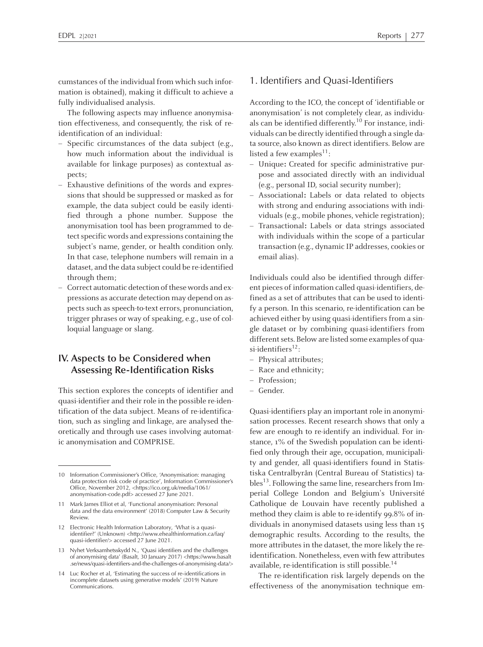cumstances of the individual fromwhich such information is obtained), making it difficult to achieve <sup>a</sup> fully individualised analysis.

The following aspects may influence anonymisation effectiveness, and consequently, the risk of reidentification of an individual:

- Specific circumstances of the data subject (e.g., how much information about the individual is available for linkage purposes) as contextual aspects;
- Exhaustive definitions of the words and expressions that should be suppressed or masked as for example, the data subject could be easily identified through <sup>a</sup> phone number. Suppose the anonymisation tool has been programmed to detect specific words and expressions containing the subject's name, gender, or health condition only. In that case, telephone numbers will remain in <sup>a</sup> dataset, and the data subject could be re-identified through them;
- Correct automatic detection of these words and expressions as accurate detection may depend on aspects such as speech-to-text errors, pronunciation, trigger phrases or way of speaking, e.g., use of colloquial language or slang.

# **IV. Aspects to be Considered when Assessing Re-Identification Risks**

This section explores the concepts of identifier and quasi-identifier and their role in the possible re-identification of the data subject. Means of re-identification, such as singling and linkage, are analysed theoretically and through use cases involving automatic anonymisation and COMPRISE.

- <sup>12</sup> Electronic Health Information Laboratory, 'What is <sup>a</sup> quasiidentifier?' (Unknown) <http://www.ehealthinformation.ca/faq/ quasi-identifier/> accessed <sup>27</sup> June 2021.
- <sup>13</sup> Nyhet Verksamhetsskydd N., 'Quasi identifiers and the challenges of anonymising data' (Basalt, <sup>30</sup> January 2017) <https://www.basalt .se/news/quasi-identifiers-and-the-challenges-of-anonymising-data/>
- <sup>14</sup> Luc Rocher et al, 'Estimating the success of re-identifications in incomplete datasets using generative models' (2019) Nature Communications.

### 1. Identifiers and Quasi-Identifiers

According to the ICO, the concep<sup>t</sup> of 'identifiable or anonymisation' is not completely clear, as individuals can be identified differently.<sup>10</sup> For instance, individuals can be directly identified through <sup>a</sup> single data source, also known as direct identifiers. Below are listed a few examples<sup>11</sup>:

- Unique**:** Created for specific administrative purpose and associated directly with an individual (e.g., personal ID, social security number);
- Associational**:** Labels or data related to objects with strong and enduring associations with individuals (e.g., mobile phones, vehicle registration);
- Transactional**:** Labels or data strings associated with individuals within the scope of <sup>a</sup> particular transaction (e.g., dynamic IP addresses, cookies or email alias).

Individuals could also be identified through different pieces of information called quasi-identifiers, defined as <sup>a</sup> set of attributes that can be used to identify <sup>a</sup> person. In this scenario, re-identification can be achieved either by using quasi-identifiers from a single dataset or by combining quasi-identifiers from different sets. Below are listed some examples of quasi-identifiers<sup>12</sup>:

- Physical attributes;
- Race and ethnicity;
- Profession;
- Gender.

Quasi-identifiers play an important role in anonymisation processes. Recent research shows that only <sup>a</sup> few are enough to re-identify an individual. For instance, 1% of the Swedish population can be identified only through their age, occupation, municipality and gender, all quasi-identifiers found in Statistiska Centralbyrån (Central Bureau of Statistics) tables<sup>13</sup>. Following the same line, researchers from Imperial College London and Belgium's Université Catholique de Louvain have recently published <sup>a</sup> method they claim is able to re-identify 99.8% of individuals in anonymised datasets using less than <sup>15</sup> demographic results. According to the results, the more attributes in the dataset, the more likely the reidentification. Nonetheless, even with few attributes available, re-identification is still possible. 14

The re-identification risk largely depends on the effectiveness of the anonymisation technique em-

<sup>10</sup> Information Commissioner's Office, 'Anonymisation: managing data protection risk code of practice', Information Commissioner's Office, November 2012, <https://ico.org.uk/media/1061/ anonymisation-code.pdf> accessed <sup>27</sup> June 2021.

<sup>11</sup> Mark James Elliot et al, 'Functional anonymisation: Personal data and the data environment' (2018) Computer Law & Security Review.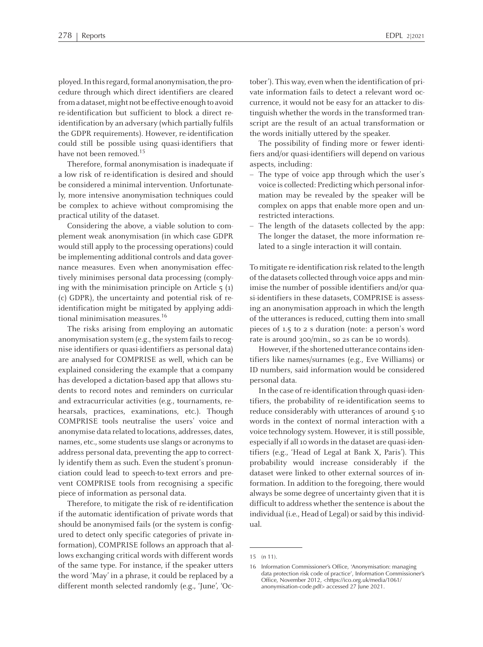ployed. In this regard, formal anonymisation, the procedure through which direct identifiers are cleared from a dataset, might not be effective enough to avoid re-identification but sufficient to block <sup>a</sup> direct reidentification by an adversary (which partially fulfils the GDPR requirements). However, re-identification could still be possible using quasi-identifiers that have not been removed.<sup>15</sup>

Therefore, formal anonymisation is inadequate if <sup>a</sup> low risk of re-identification is desired and should be considered <sup>a</sup> minimal intervention. Unfortunately, more intensive anonymisation techniques could be complex to achieve without compromising the practical utility of the dataset.

Considering the above, <sup>a</sup> viable solution to complement weak anonymisation (in which case GDPR would still apply to the processing operations) could be implementing additional controls and data governance measures. Even when anonymisation effectively minimises personal data processing (complying with the minimisation principle on Article  $5(1)$ (c) GDPR), the uncertainty and potential risk of reidentification might be mitigated by applying additional minimisation measures. 16

The risks arising from employing an automatic anonymisation system (e.g., the system fails to recognise identifiers or quasi-identifiers as personal data) are analysed for COMPRISE as well, which can be explained considering the example that <sup>a</sup> company has developed <sup>a</sup> dictation-based app that allows students to record notes and reminders on curricular and extracurricular activities (e.g., tournaments, rehearsals, practices, examinations, etc.). Though COMPRISE tools neutralise the users' voice and anonymise data related to locations, addresses, dates, names, etc., some students use slangs or acronyms to address personal data, preventing the app to correctly identify them as such. Even the student's pronunciation could lead to speech-to-text errors and prevent COMPRISE tools from recognising <sup>a</sup> specific piece of information as personal data.

Therefore, to mitigate the risk of re-identification if the automatic identification of private words that should be anonymised fails (or the system is configured to detect only specific categories of private information), COMPRISE follows an approach that allows exchanging critical words with different words of the same type. For instance, if the speaker utters the word 'May' in <sup>a</sup> phrase, it could be replaced by <sup>a</sup> different month selected randomly (e.g., 'June', 'October'). This way, even when the identification of private information fails to detect <sup>a</sup> relevant word occurrence, it would not be easy for an attacker to distinguish whether the words in the transformed transcript are the result of an actual transformation or the words initially uttered by the speaker.

The possibility of finding more or fewer identifiers and/or quasi-identifiers will depend on various aspects, including:

- The type of voice app through which the user's voice is collected: Predicting which personalinformation may be revealed by the speaker will be complex on apps that enable more open and unrestricted interactions.
- The length of the datasets collected by the app: The longer the dataset, the more information related to <sup>a</sup> single interaction it will contain.

To mitigate re-identification risk related to the length of the datasets collected through voice apps and minimise the number of possible identifiers and/or quasi-identifiers in these datasets, COMPRISE is assessing an anonymisation approach in which the length of the utterances is reduced, cutting them into small pieces of 1.5 to <sup>2</sup> <sup>s</sup> duration (note: <sup>a</sup> person's word rate is around 300/min., so 2s can be <sup>10</sup> words).

However, if the shortened utterance contains identifiers like names/surnames (e.g., Eve Williams) or ID numbers, said information would be considered personal data.

In the case of re-identification through quasi-identifiers, the probability of re-identification seems to reduce considerably with utterances of around 5-10 words in the context of normal interaction with <sup>a</sup> voice technology system. However, it is still possible, especially if all 10 words in the dataset are quasi-identifiers (e.g., 'Head of Legal at Bank X, Paris'). This probability would increase considerably if the dataset were linked to other external sources of information. In addition to the foregoing, there would always be some degree of uncertainty given that it is difficult to address whether the sentence is about the individual (i.e., Head of Legal) or said by this individual.

<sup>15</sup> (n 11).

<sup>16</sup> Information Commissioner's Office, 'Anonymisation: managing data protection risk code of practice', Information Commissioner's Office, November 2012, <https://ico.org.uk/media/1061/ anonymisation-code.pdf> accessed <sup>27</sup> June 2021.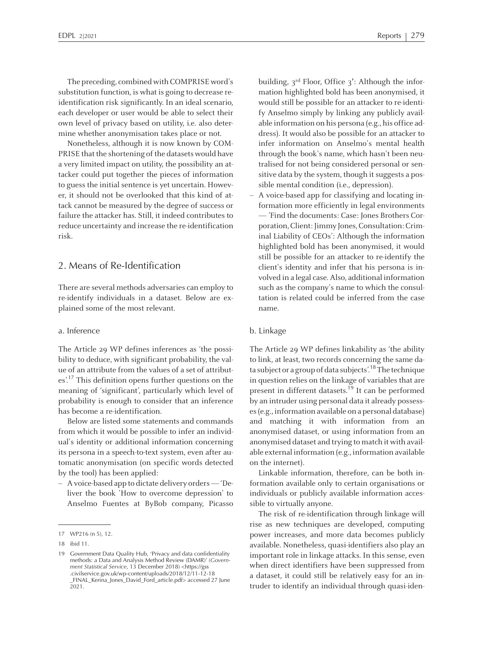The preceding, combined with COMPRISE word's substitution function, is what is going to decrease reidentification risk significantly. In an ideal scenario, each developer or user would be able to select their own level of privacy based on utility, i.e. also determine whether anonymisation takes place or not.

Nonetheless, although it is now known by COM-PRISE that the shortening of the datasets would have <sup>a</sup> very limited impact on utility, the possibility an attacker could pu<sup>t</sup> together the pieces of information to guess the initial sentence is ye<sup>t</sup> uncertain. However, it should not be overlooked that this kind of attack cannot be measured by the degree of success or failure the attacker has. Still, it indeed contributes to reduce uncertainty and increase the re-identification risk.

## 2. Means of Re-Identification

There are several methods adversaries can employ to re-identify individuals in <sup>a</sup> dataset. Below are explained some of the most relevant.

### a. Inference

The Article 29 WP defines inferences as 'the possibility to deduce, with significant probability, the value of an attribute from the values of <sup>a</sup> set of attributes'.<sup>17</sup> This definition opens further questions on the meaning of 'significant', particularly which level of probability is enough to consider that an inference has become <sup>a</sup> re-identification.

Below are listed some statements and commands from which it would be possible to infer an individual's identity or additional information concerning its persona in <sup>a</sup> speech-to-text system, even after automatic anonymisation (on specific words detected by the tool) has been applied:

– Avoice-based app to dictate delivery orders—'Deliver the book 'How to overcome depression' to Anselmo Fuentes at ByBob company, Picasso

building, <sup>3</sup>rd Floor, Office <sup>3</sup>**'**: Although the information highlighted bold has been anonymised, it would still be possible for an attacker to re-identify Anselmo simply by linking any publicly available information on his persona (e.g., his office address). It would also be possible for an attacker to infer information on Anselmo's mental health through the book's name, which hasn't been neutralised for not being considered personal or sensitive data by the system, though it suggests a possible mental condition (i.e., depression).

– <sup>A</sup> voice-based app for classifying and locating information more efficiently in legal environments — 'Find the documents: Case: Jones Brothers Corporation, Client: Jimmy Jones, Consultation: Criminal Liability of CEOs': Although the information highlighted bold has been anonymised, it would still be possible for an attacker to re-identify the client's identity and infer that his persona is involved in <sup>a</sup> legal case. Also, additionalinformation such as the company's name to which the consultation is related could be inferred from the case name.

### b. Linkage

The Article 29 WP defines linkability as 'the ability to link, at least, two records concerning the same data subject or a group of data subjects'.<sup>18</sup> The technique in question relies on the linkage of variables that are present in different datasets.<sup>19</sup> It can be performed by an intruder using personal data it already possesses(e.g.,information available on <sup>a</sup> personal database) and matching it with information from an anonymised dataset, or using information from an anonymised dataset and trying to match it with available external information (e.g., information available on the internet).

Linkable information, therefore, can be both information available only to certain organisations or individuals or publicly available information accessible to virtually anyone.

The risk of re-identification through linkage will rise as new techniques are developed, computing power increases, and more data becomes publicly available. Nonetheless, quasi-identifiers also play an important role in linkage attacks. In this sense, even when direct identifiers have been suppressed from <sup>a</sup> dataset, it could still be relatively easy for an intruder to identify an individual through quasi-iden-

<sup>17</sup> WP216 (n 5), 12.

<sup>18</sup> ibid 11.

<sup>19</sup> Government Data Quality Hub, 'Privacy and data confidentiality methods: <sup>a</sup> Data and Analysis Method Review (DAMR)' (*Government Statistical Service*, <sup>13</sup> December 2018) <https://gss .civilservice.gov.uk/wp-content/uploads/2018/12/11-12-18 \_FINAL\_Kerina\_Jones\_David\_Ford\_article.pdf> accessed <sup>27</sup> June 2021.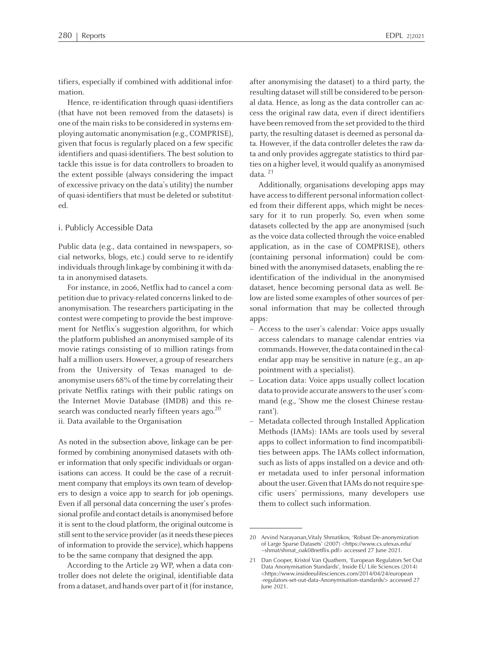tifiers, especially if combined with additional infor-

mation. Hence, re-identification through quasi-identifiers (that have not been removed from the datasets) is one of the main risks to be considered in systems employing automatic anonymisation (e.g., COMPRISE), given that focus is regularly placed on <sup>a</sup> few specific identifiers and quasi-identifiers. The best solution to tackle this issue is for data controllers to broaden to the extent possible (always considering the impact of excessive privacy on the data's utility) the number of quasi-identifiers that must be deleted or substituted.

#### i. Publicly Accessible Data

Public data (e.g., data contained in newspapers, social networks, blogs, etc.) could serve to re-identify individuals through linkage by combining it with data in anonymised datasets.

For instance, in 2006, Netflix had to cancel <sup>a</sup> competition due to privacy-related concerns linked to deanonymisation. The researchers participating in the contest were competing to provide the best improvement for Netflix's suggestion algorithm, for which the platform published an anonymised sample of its movie ratings consisting of <sup>10</sup> million ratings from half amillion users. However, <sup>a</sup> group of researchers from the University of Texas managed to deanonymise users 68% of the time by correlating their private Netflix ratings with their public ratings on the Internet Movie Database (IMDB) and this research was conducted nearly fifteen years ago.<sup>20</sup> ii. Data available to the Organisation

As noted in the subsection above, linkage can be performed by combining anonymised datasets with other information that only specific individuals or organisations can access. It could be the case of <sup>a</sup> recruitment company that employs its own team of developers to design <sup>a</sup> voice app to search for job openings. Even if all personal data concerning the user's professional profile and contact details is anonymised before it is sent to the cloud platform, the original outcome is still sent to the service provider (as it needs these pieces of information to provide the service), which happens to be the same company that designed the app.

According to the Article 29 WP, when <sup>a</sup> data controller does not delete the original, identifiable data from a dataset, and hands over part of it (for instance,

after anonymising the dataset) to <sup>a</sup> third party, the resulting dataset will still be considered to be personal data. Hence, as long as the data controller can access the original raw data, even if direct identifiers have been removed from the set provided to the third party, the resulting dataset is deemed as personal data. However, if the data controller deletes the raw data and only provides aggregate statistics to third parties on a higher level, it would qualify as anonymised data. <sup>21</sup>

Additionally, organisations developing apps may have access to different personal information collected from their different apps, which might be necessary for it to run properly. So, even when some datasets collected by the app are anonymised (such as the voice data collected through the voice-enabled application, as in the case of COMPRISE), others (containing personal information) could be combined with the anonymised datasets, enabling the reidentification of the individual in the anonymised dataset, hence becoming personal data as well. Below are listed some examples of other sources of personal information that may be collected through apps:

- Access to the user's calendar: Voice apps usually access calendars to manage calendar entries via commands. However, the data contained in the calendar app may be sensitive in nature (e.g., an appointment with <sup>a</sup> specialist).
- – Location data: Voice apps usually collect location data to provide accurate answers to the user's command (e.g., 'Show me the closest Chinese restaurant').
- Metadata collected through Installed Application Methods (IAMs): IAMs are tools used by several apps to collect information to find incompatibilities between apps. The IAMs collect information, such as lists of apps installed on <sup>a</sup> device and other metadata used to infer personal information about the user. Given that IAMs do not require specific users' permissions, many developers use them to collect such information.

<sup>20</sup> Arvind Narayanan,Vitaly Shmatikov, 'Robust De-anonymization of Large Sparse Datasets' (2007) <https://www.cs.utexas.edu/ ~shmat/shmat\_oak08netflix.pdf> accessed <sup>27</sup> June 2021.

<sup>21</sup> Dan Cooper, Kristof Van Quathem, 'European Regulators Set Out Data Anonymisation Standards', Inside EU Life Sciences (2014) <https://www.insideeulifesciences.com/2014/04/24/european -regulators-set-out-data-Anonymisation-standards/> accessed <sup>27</sup> June 2021.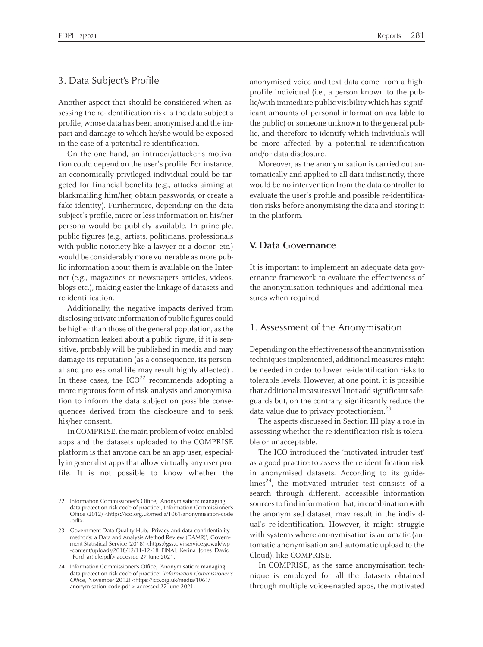### 3. Data Subject's Profile

Another aspec<sup>t</sup> that should be considered when assessing the re-identification risk is the data subject's profile, whose data has been anonymised and the impac<sup>t</sup> and damage to which he/she would be exposed in the case of <sup>a</sup> potential re-identification.

On the one hand, an intruder/attacker's motivation could depend on the user's profile. For instance, an economically privileged individual could be targeted for financial benefits (e.g., attacks aiming at blackmailing him/her, obtain passwords, or create <sup>a</sup> fake identity). Furthermore, depending on the data subject's profile, more or less information on his/her persona would be publicly available. In principle, public figures (e.g., artists, politicians, professionals with public notoriety like <sup>a</sup> lawyer or <sup>a</sup> doctor, etc.) would be considerably more vulnerable as more public information about them is available on the Internet (e.g., magazines or newspapers articles, videos, blogs etc.), making easier the linkage of datasets and re-identification.

Additionally, the negative impacts derived from disclosing private information of public figures could be higher than those of the general population, as the information leaked about <sup>a</sup> public figure, if it is sensitive, probably will be published in media and may damage its reputation (as <sup>a</sup> consequence, its personal and professional life may result highly affected) . In these cases, the  $ICO^{22}$  recommends adopting a more rigorous form of risk analysis and anonymisation to inform the data subject on possible consequences derived from the disclosure and to seek his/her consent.

In COMPRISE, the main problem of voice-enabled apps and the datasets uploaded to the COMPRISE platform is that anyone can be an app user, especially in generalist apps that allow virtually any user profile. It is not possible to know whether the anonymised voice and text data come from <sup>a</sup> highprofile individual (i.e., <sup>a</sup> person known to the public/with immediate public visibility which has significant amounts of personal information available to the public) or someone unknown to the general public, and therefore to identify which individuals will be more affected by <sup>a</sup> potential re-identification and/or data disclosure.

Moreover, as the anonymisation is carried out automatically and applied to all data indistinctly, there would be no intervention from the data controller to evaluate the user's profile and possible re-identification risks before anonymising the data and storing it in the platform.

### **V. Data Governance**

It is important to implement an adequate data governance framework to evaluate the effectiveness of the anonymisation techniques and additional measures when required.

### 1. Assessment of the Anonymisation

Depending on the effectiveness of the anonymisation techniques implemented, additional measures might be needed in order to lower re-identification risks to tolerable levels. However, at one point, it is possible that additional measures will not add significant safeguards but, on the contrary, significantly reduce the data value due to privacy protectionism.<sup>23</sup>

The aspects discussed in Section III play <sup>a</sup> role in assessing whether the re-identification risk is tolerable or unacceptable.

The ICO introduced the 'motivated intruder test' as <sup>a</sup> good practice to assess the re-identification risk in anonymised datasets. According to its guidelines 24 , the motivated intruder test consists of <sup>a</sup> search through different, accessible information sources to find information that, in combination with the anonymised dataset, may result in the individual's re-identification. However, it might struggle with systems where anonymisation is automatic (automatic anonymisation and automatic upload to the Cloud), like COMPRISE.

In COMPRISE, as the same anonymisation technique is employed for all the datasets obtained through multiple voice-enabled apps, the motivated

<sup>22</sup> Information Commissioner's Office, 'Anonymisation: managing data protection risk code of practice', Information Commissioner's Office (2012) <https://ico.org.uk/media/1061/anonymisation-code .pdf>.

<sup>23</sup> Government Data Quality Hub, 'Privacy and data confidentiality methods: <sup>a</sup> Data and Analysis Method Review (DAMR)', Government Statistical Service (2018) <https://gss.civilservice.gov.uk/wp -content/uploads/2018/12/11-12-18\_FINAL\_Kerina\_Jones\_David \_Ford\_article.pdf> accessed <sup>27</sup> June 2021.

<sup>24</sup> Information Commissioner's Office, 'Anonymisation: managing data protection risk code of practice' (*Information Commissioner's Office*, November 2012) <https://ico.org.uk/media/1061/ anonymisation-code.pdf <sup>&</sup>gt; accessed <sup>27</sup> June 2021.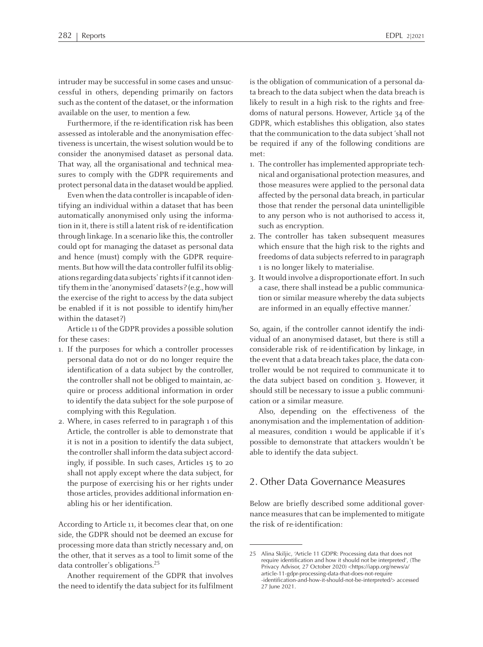intruder may be successful in some cases and unsuccessful in others, depending primarily on factors such asthe content of the dataset, or the information available on the user, to mention <sup>a</sup> few.

Furthermore, if the re-identification risk has been assessed as intolerable and the anonymisation effectiveness is uncertain, the wisest solution would be to consider the anonymised dataset as personal data. That way, all the organisational and technical measures to comply with the GDPR requirements and protect personal data in the dataset would be applied.

Even when the data controller is incapable of identifying an individual within <sup>a</sup> dataset that has been automatically anonymised only using the information in it, there isstill <sup>a</sup> latent risk of re-identification through linkage. In <sup>a</sup> scenario like this, the controller could op<sup>t</sup> for managing the dataset as personal data and hence (must) comply with the GDPR requirements. But how will the data controller fulfil its obligations regarding data subjects' rights if it cannot identify themin the 'anonymised' datasets? (e.g., howwill the exercise of the right to access by the data subject be enabled if it is not possible to identify him/her within the dataset?)

Article <sup>11</sup> of the GDPR provides <sup>a</sup> possible solution for these cases:

- 1. If the purposes for which <sup>a</sup> controller processes personal data do not or do no longer require the identification of <sup>a</sup> data subject by the controller, the controller shall not be obliged to maintain, acquire or process additional information in order to identify the data subject for the sole purpose of complying with this Regulation.
- 2. Where, in cases referred to in paragraph <sup>1</sup> of this Article, the controller is able to demonstrate that it is not in <sup>a</sup> position to identify the data subject, the controller shall inform the data subject accordingly, if possible. In such cases, Articles <sup>15</sup> to <sup>20</sup> shall not apply excep<sup>t</sup> where the data subject, for the purpose of exercising his or her rights under those articles, provides additional information enabling his or her identification.

According to Article 11, it becomes clear that, on one side, the GDPR should not be deemed an excuse for processing more data than strictly necessary and, on the other, that it serves as <sup>a</sup> tool to limit some of the data controller's obligations. 25

Another requirement of the GDPR that involves the need to identify the data subject for its fulfilment is the obligation of communication of <sup>a</sup> personal data breach to the data subject when the data breach is likely to result in <sup>a</sup> high risk to the rights and freedoms of natural persons. However, Article 34 of the GDPR, which establishes this obligation, also states that the communication to the data subject 'shall not be required if any of the following conditions are met:

- 1. The controller hasimplemented appropriate technical and organisational protection measures, and those measures were applied to the personal data affected by the personal data breach, in particular those that render the personal data unintelligible to any person who is not authorised to access it, such as encryption.
- 2. The controller has taken subsequent measures which ensure that the high risk to the rights and freedoms of data subjects referred to in paragraph <sup>1</sup> is no longer likely to materialise.
- 3. It would involve <sup>a</sup> disproportionate effort. In such <sup>a</sup> case, there shall instead be <sup>a</sup> public communication or similar measure whereby the data subjects are informed in an equally effective manner.'

So, again, if the controller cannot identify the individual of an anonymised dataset, but there is still <sup>a</sup> considerable risk of re-identification by linkage, in the event that <sup>a</sup> data breach takes place, the data controller would be not required to communicate it to the data subject based on condition 3. However, it should still be necessary to issue <sup>a</sup> public communication or <sup>a</sup> similar measure.

Also, depending on the effectiveness of the anonymisation and the implementation of additional measures, condition <sup>1</sup> would be applicable if it's possible to demonstrate that attackers wouldn't be able to identify the data subject.

## 2. Other Data Governance Measures

Below are briefly described some additional governance measures that can be implemented to mitigate the risk of re-identification:

<sup>25</sup> Alina Skiljic, 'Article <sup>11</sup> GDPR: Processing data that does not require identification and how it should not be interpreted', (The Privacy Advisor, <sup>27</sup> October 2020) <https://iapp.org/news/a/ article-11-gdpr-processing-data-that-does-not-require -identification-and-how-it-should-not-be-interpreted/> accessed 27 June 2021.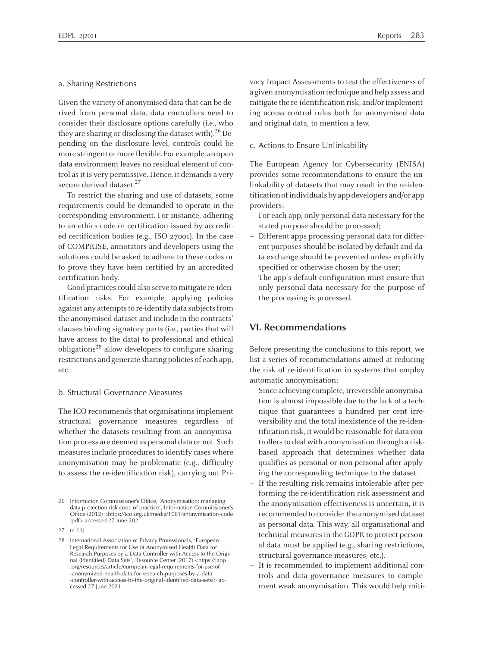#### a. Sharing Restrictions

Given the variety of anonymised data that can be derived from personal data, data controllers need to consider their disclosure options carefully (i.e., who they are sharing or disclosing the dataset with).<sup>26</sup> Depending on the disclosure level, controls could be more stringent or more flexible. For example, an open data environment leaves no residual element of control as it is very permissive. Hence, it demands a very secure derived dataset.<sup>27</sup>

To restrict the sharing and use of datasets, some requirements could be demanded to operate in the corresponding environment. For instance, adhering to an ethics code or certification issued by accredited certification bodies (e.g., ISO 27001). In the case of COMPRISE, annotators and developers using the solutions could be asked to adhere to these codes or to prove they have been certified by an accredited certification body.

Good practices could also serve tomitigate re-identification risks. For example, applying policies against any attempts to re-identify data subjects from the anonymised dataset and include in the contracts' clauses binding signatory parts (i.e., parties that will have access to the data) to professional and ethical obligations 28 allow developers to configure sharing restrictions and generate sharing policies of each app, etc.

### b. Structural Governance Measures

The ICO recommends that organisations implement structural governance measures regardless of whether the datasets resulting from an anonymisation process are deemed as personal data or not. Such measures include procedures to identify cases where anonymisation may be problematic (e.g., difficulty to assess the re-identification risk), carrying out Privacy Impact Assessments to test the effectiveness of a given anonymisation technique and help assess and mitigate the re-identification risk, and/or implementing access control rules both for anonymised data and original data, to mention <sup>a</sup> few.

#### c. Actions to Ensure Unlinkability

The European Agency for Cybersecurity (ENISA) provides some recommendations to ensure the unlinkability of datasets that may result in the re-identificationofindividualsby appdevelopers and/or app providers:

- For each app, only personal data necessary for the stated purpose should be processed;
- Different apps processing personal data for different purposes should be isolated by default and data exchange should be prevented unless explicitly specified or otherwise chosen by the user;
- The app's default configuration must ensure that only personal data necessary for the purpose of the processing is processed.

### **VI. Recommendations**

Before presenting the conclusions to this report, we list <sup>a</sup> series of recommendations aimed at reducing the risk of re-identification in systems that employ automatic anonymisation:

- Since achieving complete, irreversible anonymisation is almost impossible due to the lack of <sup>a</sup> technique that guarantees <sup>a</sup> hundred per cent irreversibility and the total inexistence of the re-identification risk, it would be reasonable for data controllers to deal with anonymisation through a riskbased approach that determines whether data qualifies as personal or non-personal after applying the corresponding technique to the dataset.
- If the resulting risk remains intolerable after performing the re-identification risk assessment and the anonymisation effectiveness is uncertain, it is recommended to consider the anonymised dataset as personal data. This way, all organisational and technical measures in the GDPR to protect personal data must be applied (e.g., sharing restrictions, structural governance measures, etc.).
- It is recommended to implement additional controls and data governance measures to complement weak anonymisation. This would help miti-

<sup>26</sup> Information Commissioner's Office, 'Anonymisation: managing data protection risk code of practice', Information Commissioner's Office (2012) <https://ico.org.uk/media/1061/anonymisation-code .pdf> accessed <sup>27</sup> June 2021.

<sup>27</sup> (n 11).

<sup>28</sup> International Association of Privacy Professionals, 'European Legal Requirements for Use of Anonymised Health Data for Research Purposes by <sup>a</sup> Data Controller with Access to the Original (Identified) Data Sets', Resource Center (2017) <https://iapp .org/resources/article/european-legal-requirements-for-use-of -anonymized-health-data-for-research-purposes-by-a-data -controller-with-access-to-the-original-identified-data-sets/> accessed 27 June 2021.